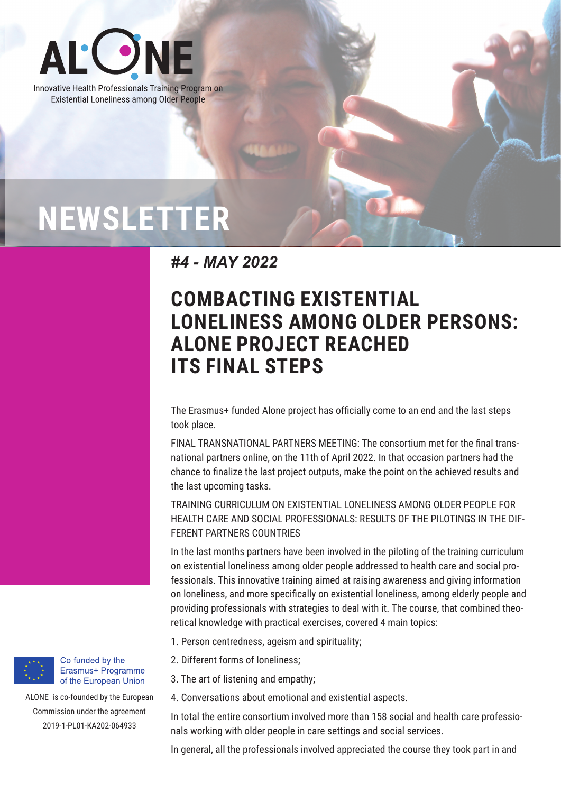

Innovative Health Professionals Training Program on **Existential Loneliness among Older People** 

## **NEWSLETTER**

*#4 - MAY 2022*

## **COMBACTING EXISTENTIAL LONELINESS AMONG OLDER PERSONS: ALONE PROJECT REACHED ITS FINAL STEPS**

The Erasmus+ funded Alone project has officially come to an end and the last steps took place.

FINAL TRANSNATIONAL PARTNERS MEETING: The consortium met for the final transnational partners online, on the 11th of April 2022. In that occasion partners had the chance to finalize the last project outputs, make the point on the achieved results and the last upcoming tasks.

TRAINING CURRICULUM ON EXISTENTIAL LONELINESS AMONG OLDER PEOPLE FOR HEALTH CARE AND SOCIAL PROFESSIONALS: RESULTS OF THE PILOTINGS IN THE DIF-FERENT PARTNERS COUNTRIES

In the last months partners have been involved in the piloting of the training curriculum on existential loneliness among older people addressed to health care and social professionals. This innovative training aimed at raising awareness and giving information on loneliness, and more specifically on existential loneliness, among elderly people and providing professionals with strategies to deal with it. The course, that combined theoretical knowledge with practical exercises, covered 4 main topics:

- 1. Person centredness, ageism and spirituality;
- 2. Different forms of loneliness;
- 3. The art of listening and empathy;
- 4. Conversations about emotional and existential aspects.

In total the entire consortium involved more than 158 social and health care professionals working with older people in care settings and social services.

In general, all the professionals involved appreciated the course they took part in and



Co-funded by the Erasmus+ Programme of the European Union

ALONE is co-founded by the European Commission under the agreement 2019-1-PL01-KA202-064933